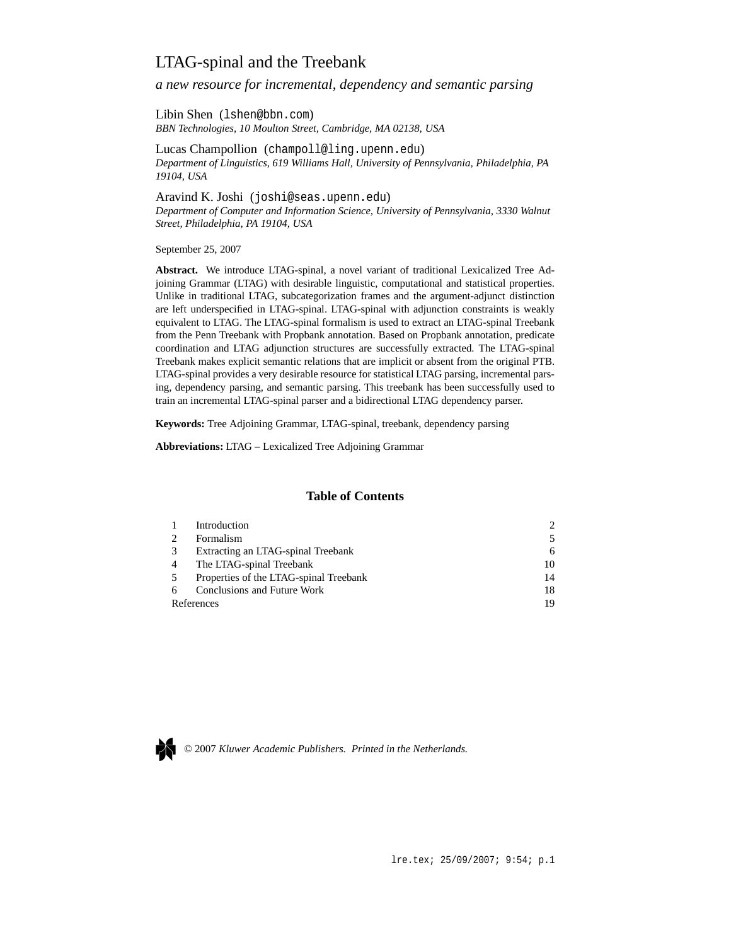# LTAG-spinal and the Treebank

*a new resource for incremental, dependency and semantic parsing*

Libin Shen (lshen@bbn.com) *BBN Technologies, 10 Moulton Street, Cambridge, MA 02138, USA*

Lucas Champollion (champoll@ling.upenn.edu) *Department of Linguistics, 619 Williams Hall, University of Pennsylvania, Philadelphia, PA 19104, USA*

Aravind K. Joshi (joshi@seas.upenn.edu) *Department of Computer and Information Science, University of Pennsylvania, 3330 Walnut Street, Philadelphia, PA 19104, USA*

September 25, 2007

**Abstract.** We introduce LTAG-spinal, a novel variant of traditional Lexicalized Tree Adjoining Grammar (LTAG) with desirable linguistic, computational and statistical properties. Unlike in traditional LTAG, subcategorization frames and the argument-adjunct distinction are left underspecified in LTAG-spinal. LTAG-spinal with adjunction constraints is weakly equivalent to LTAG. The LTAG-spinal formalism is used to extract an LTAG-spinal Treebank from the Penn Treebank with Propbank annotation. Based on Propbank annotation, predicate coordination and LTAG adjunction structures are successfully extracted. The LTAG-spinal Treebank makes explicit semantic relations that are implicit or absent from the original PTB. LTAG-spinal provides a very desirable resource for statistical LTAG parsing, incremental parsing, dependency parsing, and semantic parsing. This treebank has been successfully used to train an incremental LTAG-spinal parser and a bidirectional LTAG dependency parser.

**Keywords:** Tree Adjoining Grammar, LTAG-spinal, treebank, dependency parsing

**Abbreviations:** LTAG – Lexicalized Tree Adjoining Grammar

### **Table of Contents**

|            | Introduction                           | $\mathcal{D}$ |
|------------|----------------------------------------|---------------|
|            | Formalism                              |               |
|            | Extracting an LTAG-spinal Treebank     | 6             |
|            | The LTAG-spinal Treebank               | 10            |
|            | Properties of the LTAG-spinal Treebank | 14            |
| 6          | Conclusions and Future Work            | 18            |
| References |                                        | 19            |



© 2007 *Kluwer Academic Publishers. Printed in the Netherlands.*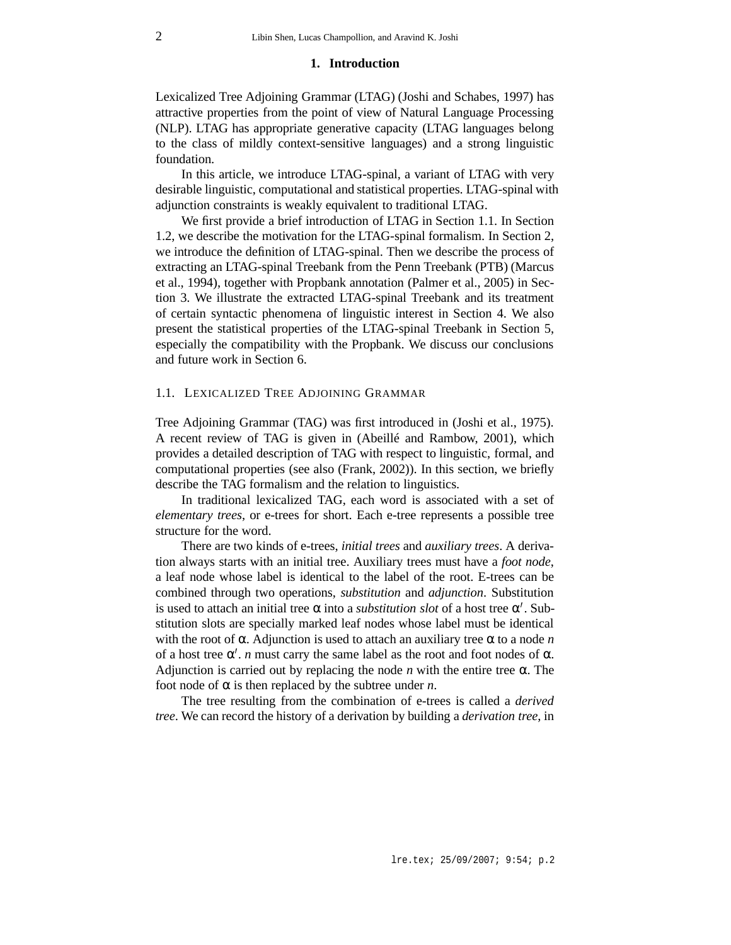#### **1. Introduction**

Lexicalized Tree Adjoining Grammar (LTAG) (Joshi and Schabes, 1997) has attractive properties from the point of view of Natural Language Processing (NLP). LTAG has appropriate generative capacity (LTAG languages belong to the class of mildly context-sensitive languages) and a strong linguistic foundation.

In this article, we introduce LTAG-spinal, a variant of LTAG with very desirable linguistic, computational and statistical properties. LTAG-spinal with adjunction constraints is weakly equivalent to traditional LTAG.

We first provide a brief introduction of LTAG in Section 1.1. In Section 1.2, we describe the motivation for the LTAG-spinal formalism. In Section 2, we introduce the definition of LTAG-spinal. Then we describe the process of extracting an LTAG-spinal Treebank from the Penn Treebank (PTB) (Marcus et al., 1994), together with Propbank annotation (Palmer et al., 2005) in Section 3. We illustrate the extracted LTAG-spinal Treebank and its treatment of certain syntactic phenomena of linguistic interest in Section 4. We also present the statistical properties of the LTAG-spinal Treebank in Section 5, especially the compatibility with the Propbank. We discuss our conclusions and future work in Section 6.

### 1.1. LEXICALIZED TREE ADJOINING GRAMMAR

Tree Adjoining Grammar (TAG) was first introduced in (Joshi et al., 1975). A recent review of TAG is given in (Abeillé and Rambow, 2001), which provides a detailed description of TAG with respect to linguistic, formal, and computational properties (see also (Frank, 2002)). In this section, we briefly describe the TAG formalism and the relation to linguistics.

In traditional lexicalized TAG, each word is associated with a set of *elementary trees*, or e-trees for short. Each e-tree represents a possible tree structure for the word.

There are two kinds of e-trees, *initial trees* and *auxiliary trees*. A derivation always starts with an initial tree. Auxiliary trees must have a *foot node*, a leaf node whose label is identical to the label of the root. E-trees can be combined through two operations, *substitution* and *adjunction*. Substitution is used to attach an initial tree  $\alpha$  into a *substitution slot* of a host tree  $\alpha'$ . Substitution slots are specially marked leaf nodes whose label must be identical with the root of  $\alpha$ . Adjunction is used to attach an auxiliary tree  $\alpha$  to a node *n* of a host tree  $\alpha'$ . *n* must carry the same label as the root and foot nodes of  $\alpha$ . Adjunction is carried out by replacing the node  $n$  with the entire tree  $\alpha$ . The foot node of  $\alpha$  is then replaced by the subtree under *n*.

The tree resulting from the combination of e-trees is called a *derived tree*. We can record the history of a derivation by building a *derivation tree*, in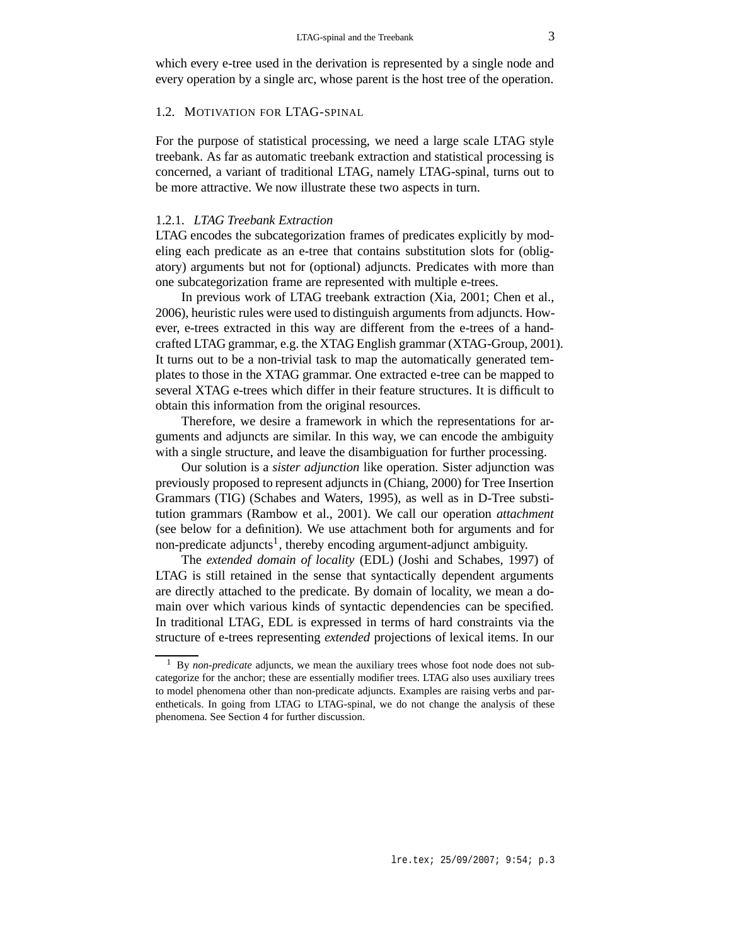which every e-tree used in the derivation is represented by a single node and every operation by a single arc, whose parent is the host tree of the operation.

### 1.2. MOTIVATION FOR LTAG-SPINAL

For the purpose of statistical processing, we need a large scale LTAG style treebank. As far as automatic treebank extraction and statistical processing is concerned, a variant of traditional LTAG, namely LTAG-spinal, turns out to be more attractive. We now illustrate these two aspects in turn.

#### 1.2.1. *LTAG Treebank Extraction*

LTAG encodes the subcategorization frames of predicates explicitly by modeling each predicate as an e-tree that contains substitution slots for (obligatory) arguments but not for (optional) adjuncts. Predicates with more than one subcategorization frame are represented with multiple e-trees.

In previous work of LTAG treebank extraction (Xia, 2001; Chen et al., 2006), heuristic rules were used to distinguish arguments from adjuncts. However, e-trees extracted in this way are different from the e-trees of a handcrafted LTAG grammar, e.g. the XTAG English grammar (XTAG-Group, 2001). It turns out to be a non-trivial task to map the automatically generated templates to those in the XTAG grammar. One extracted e-tree can be mapped to several XTAG e-trees which differ in their feature structures. It is difficult to obtain this information from the original resources.

Therefore, we desire a framework in which the representations for arguments and adjuncts are similar. In this way, we can encode the ambiguity with a single structure, and leave the disambiguation for further processing.

Our solution is a *sister adjunction* like operation. Sister adjunction was previously proposed to represent adjuncts in (Chiang, 2000) for Tree Insertion Grammars (TIG) (Schabes and Waters, 1995), as well as in D-Tree substitution grammars (Rambow et al., 2001). We call our operation *attachment* (see below for a definition). We use attachment both for arguments and for non-predicate adjuncts<sup>1</sup>, thereby encoding argument-adjunct ambiguity.

The *extended domain of locality* (EDL) (Joshi and Schabes, 1997) of LTAG is still retained in the sense that syntactically dependent arguments are directly attached to the predicate. By domain of locality, we mean a domain over which various kinds of syntactic dependencies can be specified. In traditional LTAG, EDL is expressed in terms of hard constraints via the structure of e-trees representing *extended* projections of lexical items. In our

<sup>1</sup> By *non-predicate* adjuncts, we mean the auxiliary trees whose foot node does not subcategorize for the anchor; these are essentially modifier trees. LTAG also uses auxiliary trees to model phenomena other than non-predicate adjuncts. Examples are raising verbs and parentheticals. In going from LTAG to LTAG-spinal, we do not change the analysis of these phenomena. See Section 4 for further discussion.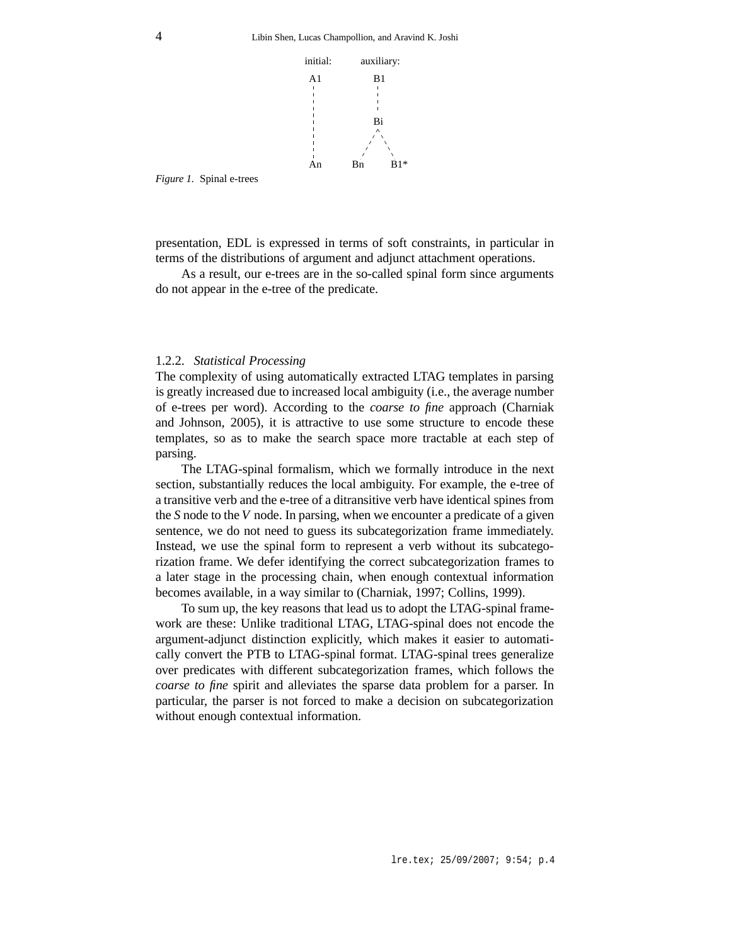

*Figure 1.* Spinal e-trees

presentation, EDL is expressed in terms of soft constraints, in particular in terms of the distributions of argument and adjunct attachment operations.

As a result, our e-trees are in the so-called spinal form since arguments do not appear in the e-tree of the predicate.

#### 1.2.2. *Statistical Processing*

The complexity of using automatically extracted LTAG templates in parsing is greatly increased due to increased local ambiguity (i.e., the average number of e-trees per word). According to the *coarse to fine* approach (Charniak and Johnson, 2005), it is attractive to use some structure to encode these templates, so as to make the search space more tractable at each step of parsing.

The LTAG-spinal formalism, which we formally introduce in the next section, substantially reduces the local ambiguity. For example, the e-tree of a transitive verb and the e-tree of a ditransitive verb have identical spines from the *S* node to the *V* node. In parsing, when we encounter a predicate of a given sentence, we do not need to guess its subcategorization frame immediately. Instead, we use the spinal form to represent a verb without its subcategorization frame. We defer identifying the correct subcategorization frames to a later stage in the processing chain, when enough contextual information becomes available, in a way similar to (Charniak, 1997; Collins, 1999).

To sum up, the key reasons that lead us to adopt the LTAG-spinal framework are these: Unlike traditional LTAG, LTAG-spinal does not encode the argument-adjunct distinction explicitly, which makes it easier to automatically convert the PTB to LTAG-spinal format. LTAG-spinal trees generalize over predicates with different subcategorization frames, which follows the *coarse to fine* spirit and alleviates the sparse data problem for a parser. In particular, the parser is not forced to make a decision on subcategorization without enough contextual information.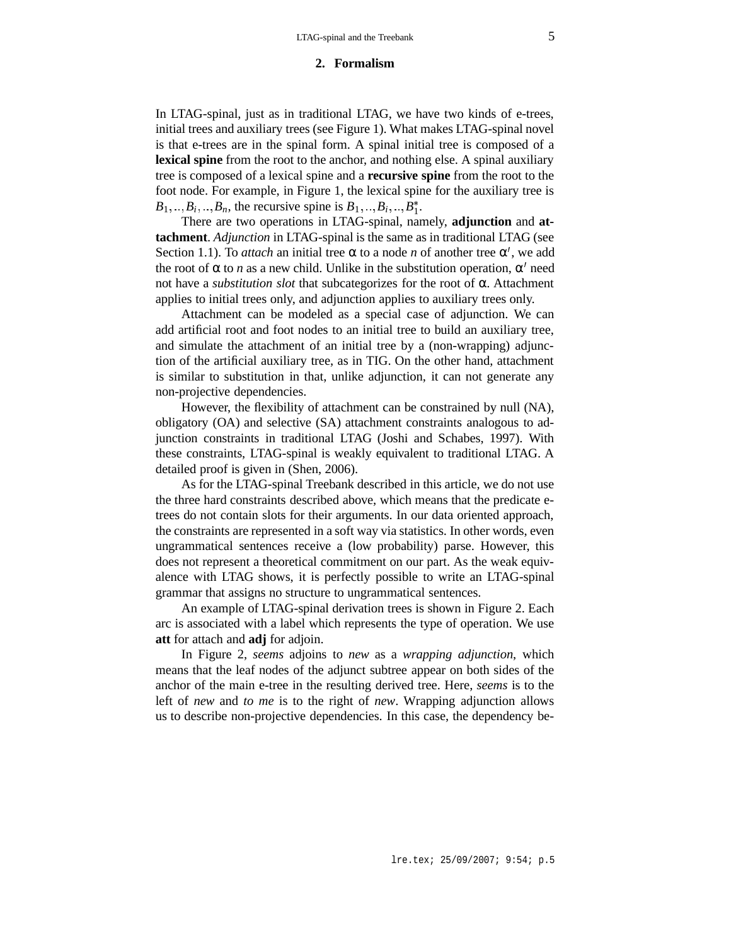#### **2. Formalism**

In LTAG-spinal, just as in traditional LTAG, we have two kinds of e-trees, initial trees and auxiliary trees (see Figure 1). What makes LTAG-spinal novel is that e-trees are in the spinal form. A spinal initial tree is composed of a **lexical spine** from the root to the anchor, and nothing else. A spinal auxiliary tree is composed of a lexical spine and a **recursive spine** from the root to the foot node. For example, in Figure 1, the lexical spine for the auxiliary tree is  $B_1, ..., B_i, ..., B_n$ , the recursive spine is  $B_1, ..., B_i, ..., B_1^*$ .

There are two operations in LTAG-spinal, namely, **adjunction** and **attachment**. *Adjunction* in LTAG-spinal is the same as in traditional LTAG (see Section 1.1). To *attach* an initial tree  $\alpha$  to a node *n* of another tree  $\alpha'$ , we add the root of  $\alpha$  to *n* as a new child. Unlike in the substitution operation,  $\alpha'$  need not have a *substitution slot* that subcategorizes for the root of α. Attachment applies to initial trees only, and adjunction applies to auxiliary trees only.

Attachment can be modeled as a special case of adjunction. We can add artificial root and foot nodes to an initial tree to build an auxiliary tree, and simulate the attachment of an initial tree by a (non-wrapping) adjunction of the artificial auxiliary tree, as in TIG. On the other hand, attachment is similar to substitution in that, unlike adjunction, it can not generate any non-projective dependencies.

However, the flexibility of attachment can be constrained by null (NA), obligatory (OA) and selective (SA) attachment constraints analogous to adjunction constraints in traditional LTAG (Joshi and Schabes, 1997). With these constraints, LTAG-spinal is weakly equivalent to traditional LTAG. A detailed proof is given in (Shen, 2006).

As for the LTAG-spinal Treebank described in this article, we do not use the three hard constraints described above, which means that the predicate etrees do not contain slots for their arguments. In our data oriented approach, the constraints are represented in a soft way via statistics. In other words, even ungrammatical sentences receive a (low probability) parse. However, this does not represent a theoretical commitment on our part. As the weak equivalence with LTAG shows, it is perfectly possible to write an LTAG-spinal grammar that assigns no structure to ungrammatical sentences.

An example of LTAG-spinal derivation trees is shown in Figure 2. Each arc is associated with a label which represents the type of operation. We use **att** for attach and **adj** for adjoin.

In Figure 2, *seems* adjoins to *new* as a *wrapping adjunction*, which means that the leaf nodes of the adjunct subtree appear on both sides of the anchor of the main e-tree in the resulting derived tree. Here, *seems* is to the left of *new* and *to me* is to the right of *new*. Wrapping adjunction allows us to describe non-projective dependencies. In this case, the dependency be-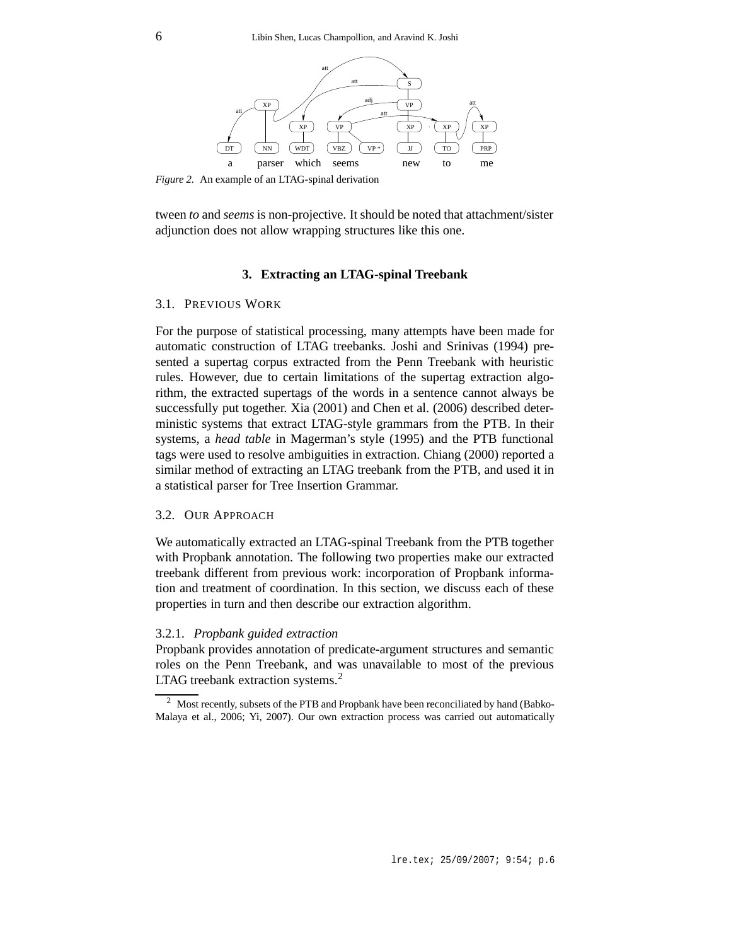

*Figure 2.* An example of an LTAG-spinal derivation

tween *to* and *seems* is non-projective. It should be noted that attachment/sister adjunction does not allow wrapping structures like this one.

### **3. Extracting an LTAG-spinal Treebank**

#### 3.1. PREVIOUS WORK

For the purpose of statistical processing, many attempts have been made for automatic construction of LTAG treebanks. Joshi and Srinivas (1994) presented a supertag corpus extracted from the Penn Treebank with heuristic rules. However, due to certain limitations of the supertag extraction algorithm, the extracted supertags of the words in a sentence cannot always be successfully put together. Xia (2001) and Chen et al. (2006) described deterministic systems that extract LTAG-style grammars from the PTB. In their systems, a *head table* in Magerman's style (1995) and the PTB functional tags were used to resolve ambiguities in extraction. Chiang (2000) reported a similar method of extracting an LTAG treebank from the PTB, and used it in a statistical parser for Tree Insertion Grammar.

#### 3.2. OUR APPROACH

We automatically extracted an LTAG-spinal Treebank from the PTB together with Propbank annotation. The following two properties make our extracted treebank different from previous work: incorporation of Propbank information and treatment of coordination. In this section, we discuss each of these properties in turn and then describe our extraction algorithm.

#### 3.2.1. *Propbank guided extraction*

Propbank provides annotation of predicate-argument structures and semantic roles on the Penn Treebank, and was unavailable to most of the previous LTAG treebank extraction systems.<sup>2</sup>

<sup>&</sup>lt;sup>2</sup> Most recently, subsets of the PTB and Propbank have been reconciliated by hand (Babko-Malaya et al., 2006; Yi, 2007). Our own extraction process was carried out automatically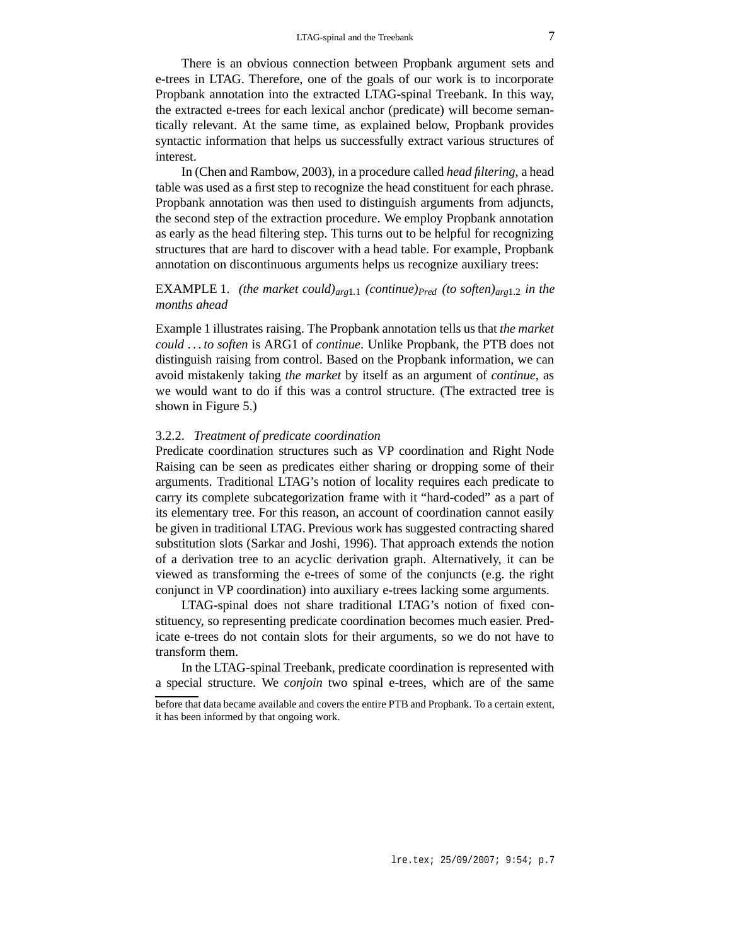There is an obvious connection between Propbank argument sets and e-trees in LTAG. Therefore, one of the goals of our work is to incorporate Propbank annotation into the extracted LTAG-spinal Treebank. In this way, the extracted e-trees for each lexical anchor (predicate) will become semantically relevant. At the same time, as explained below, Propbank provides syntactic information that helps us successfully extract various structures of interest.

In (Chen and Rambow, 2003), in a procedure called *head filtering*, a head table was used as a first step to recognize the head constituent for each phrase. Propbank annotation was then used to distinguish arguments from adjuncts, the second step of the extraction procedure. We employ Propbank annotation as early as the head filtering step. This turns out to be helpful for recognizing structures that are hard to discover with a head table. For example, Propbank annotation on discontinuous arguments helps us recognize auxiliary trees:

# EXAMPLE 1. *(the market could)*<sub>arg1.1</sub> *(continue)* $_{Pred}$  *(to soften)* $_{arg1.2}$  *in the months ahead*

Example 1 illustrates raising. The Propbank annotation tells us that *the market could . . . to soften* is ARG1 of *continue*. Unlike Propbank, the PTB does not distinguish raising from control. Based on the Propbank information, we can avoid mistakenly taking *the market* by itself as an argument of *continue*, as we would want to do if this was a control structure. (The extracted tree is shown in Figure 5.)

### 3.2.2. *Treatment of predicate coordination*

Predicate coordination structures such as VP coordination and Right Node Raising can be seen as predicates either sharing or dropping some of their arguments. Traditional LTAG's notion of locality requires each predicate to carry its complete subcategorization frame with it "hard-coded" as a part of its elementary tree. For this reason, an account of coordination cannot easily be given in traditional LTAG. Previous work has suggested contracting shared substitution slots (Sarkar and Joshi, 1996). That approach extends the notion of a derivation tree to an acyclic derivation graph. Alternatively, it can be viewed as transforming the e-trees of some of the conjuncts (e.g. the right conjunct in VP coordination) into auxiliary e-trees lacking some arguments.

LTAG-spinal does not share traditional LTAG's notion of fixed constituency, so representing predicate coordination becomes much easier. Predicate e-trees do not contain slots for their arguments, so we do not have to transform them.

In the LTAG-spinal Treebank, predicate coordination is represented with a special structure. We *conjoin* two spinal e-trees, which are of the same

before that data became available and covers the entire PTB and Propbank. To a certain extent, it has been informed by that ongoing work.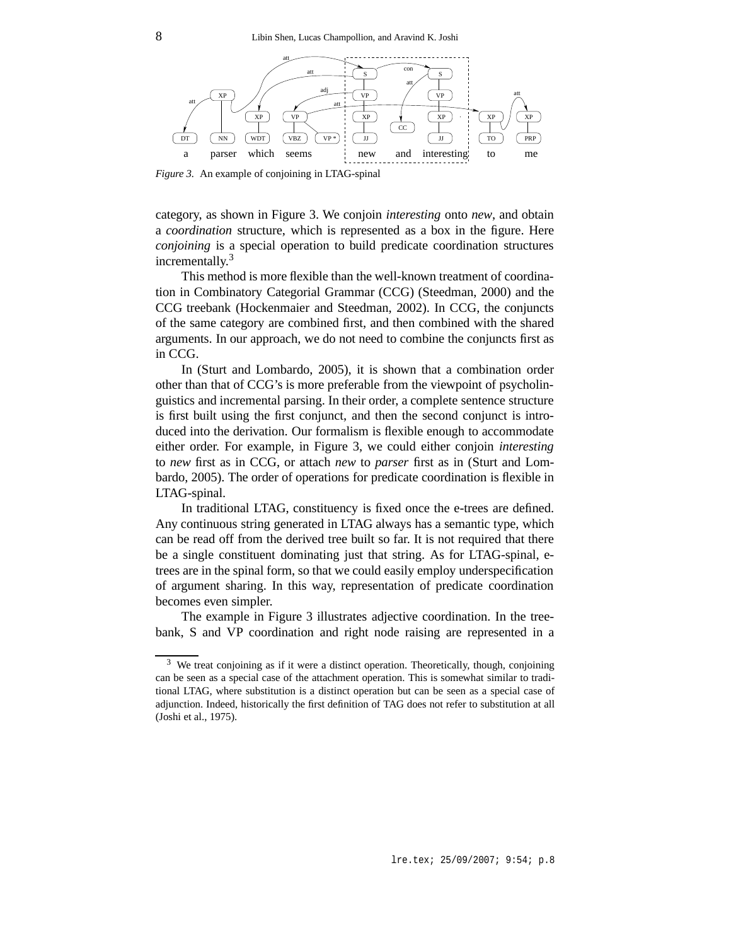

*Figure 3.* An example of conjoining in LTAG-spinal

category, as shown in Figure 3. We conjoin *interesting* onto *new*, and obtain a *coordination* structure, which is represented as a box in the figure. Here *conjoining* is a special operation to build predicate coordination structures incrementally.<sup>3</sup>

This method is more flexible than the well-known treatment of coordination in Combinatory Categorial Grammar (CCG) (Steedman, 2000) and the CCG treebank (Hockenmaier and Steedman, 2002). In CCG, the conjuncts of the same category are combined first, and then combined with the shared arguments. In our approach, we do not need to combine the conjuncts first as in CCG.

In (Sturt and Lombardo, 2005), it is shown that a combination order other than that of CCG's is more preferable from the viewpoint of psycholinguistics and incremental parsing. In their order, a complete sentence structure is first built using the first conjunct, and then the second conjunct is introduced into the derivation. Our formalism is flexible enough to accommodate either order. For example, in Figure 3, we could either conjoin *interesting* to *new* first as in CCG, or attach *new* to *parser* first as in (Sturt and Lombardo, 2005). The order of operations for predicate coordination is flexible in LTAG-spinal.

In traditional LTAG, constituency is fixed once the e-trees are defined. Any continuous string generated in LTAG always has a semantic type, which can be read off from the derived tree built so far. It is not required that there be a single constituent dominating just that string. As for LTAG-spinal, etrees are in the spinal form, so that we could easily employ underspecification of argument sharing. In this way, representation of predicate coordination becomes even simpler.

The example in Figure 3 illustrates adjective coordination. In the treebank, S and VP coordination and right node raising are represented in a

<sup>&</sup>lt;sup>3</sup> We treat conjoining as if it were a distinct operation. Theoretically, though, conjoining can be seen as a special case of the attachment operation. This is somewhat similar to traditional LTAG, where substitution is a distinct operation but can be seen as a special case of adjunction. Indeed, historically the first definition of TAG does not refer to substitution at all (Joshi et al., 1975).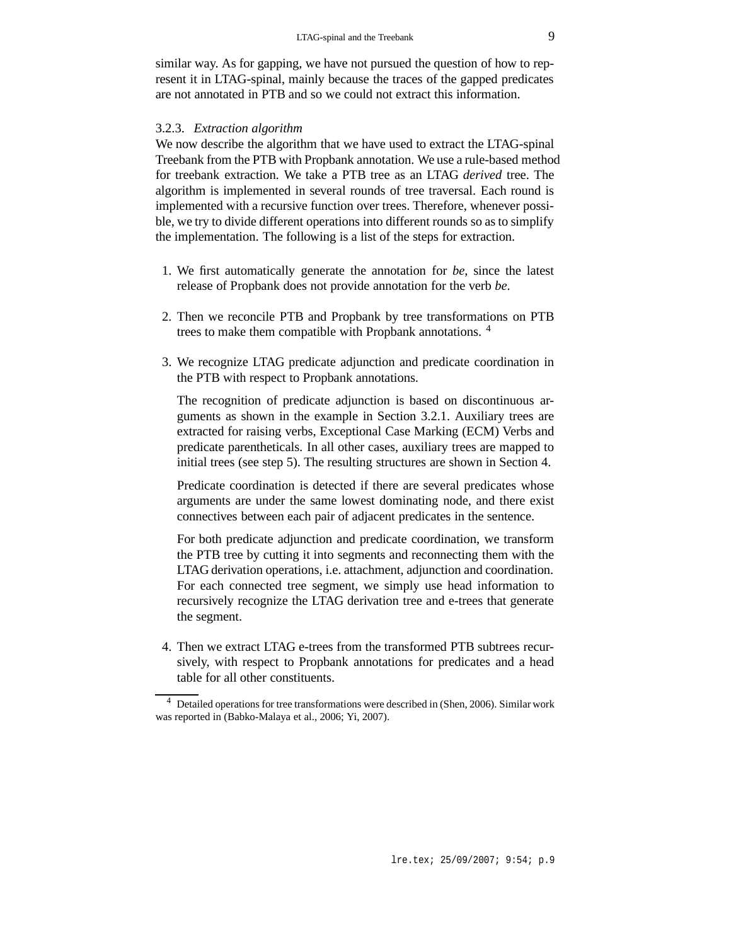similar way. As for gapping, we have not pursued the question of how to represent it in LTAG-spinal, mainly because the traces of the gapped predicates are not annotated in PTB and so we could not extract this information.

#### 3.2.3. *Extraction algorithm*

We now describe the algorithm that we have used to extract the LTAG-spinal Treebank from the PTB with Propbank annotation. We use a rule-based method for treebank extraction. We take a PTB tree as an LTAG *derived* tree. The algorithm is implemented in several rounds of tree traversal. Each round is implemented with a recursive function over trees. Therefore, whenever possible, we try to divide different operations into different rounds so as to simplify the implementation. The following is a list of the steps for extraction.

- 1. We first automatically generate the annotation for *be*, since the latest release of Propbank does not provide annotation for the verb *be*.
- 2. Then we reconcile PTB and Propbank by tree transformations on PTB trees to make them compatible with Propbank annotations. <sup>4</sup>
- 3. We recognize LTAG predicate adjunction and predicate coordination in the PTB with respect to Propbank annotations.

The recognition of predicate adjunction is based on discontinuous arguments as shown in the example in Section 3.2.1. Auxiliary trees are extracted for raising verbs, Exceptional Case Marking (ECM) Verbs and predicate parentheticals. In all other cases, auxiliary trees are mapped to initial trees (see step 5). The resulting structures are shown in Section 4.

Predicate coordination is detected if there are several predicates whose arguments are under the same lowest dominating node, and there exist connectives between each pair of adjacent predicates in the sentence.

For both predicate adjunction and predicate coordination, we transform the PTB tree by cutting it into segments and reconnecting them with the LTAG derivation operations, i.e. attachment, adjunction and coordination. For each connected tree segment, we simply use head information to recursively recognize the LTAG derivation tree and e-trees that generate the segment.

4. Then we extract LTAG e-trees from the transformed PTB subtrees recursively, with respect to Propbank annotations for predicates and a head table for all other constituents.

<sup>4</sup> Detailed operations for tree transformations were described in (Shen, 2006). Similar work was reported in (Babko-Malaya et al., 2006; Yi, 2007).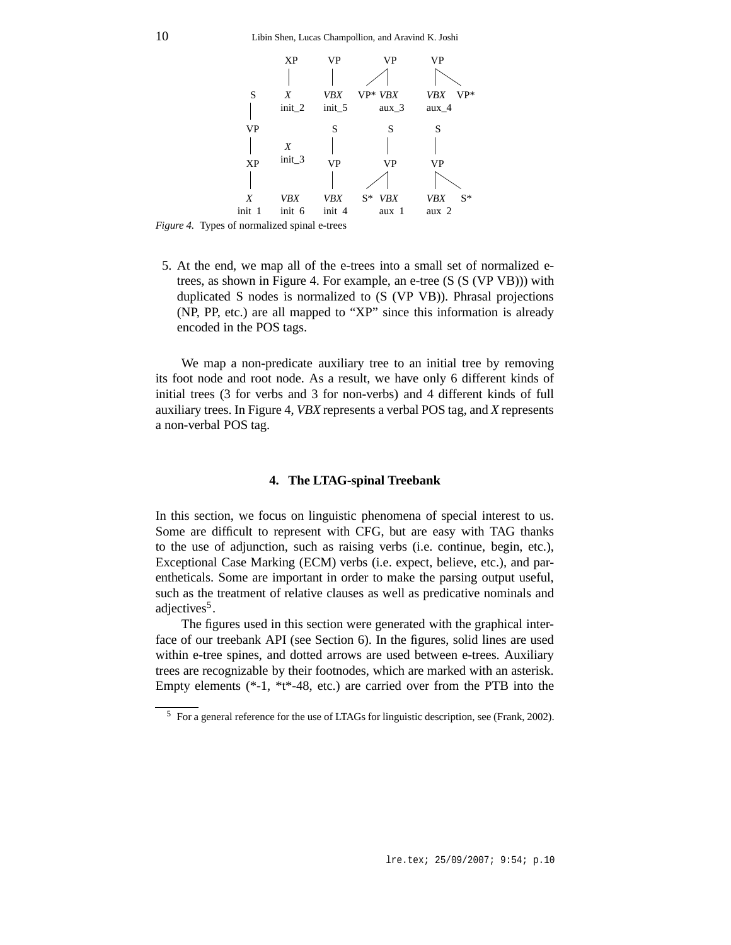

*Figure 4.* Types of normalized spinal e-trees

5. At the end, we map all of the e-trees into a small set of normalized etrees, as shown in Figure 4. For example, an e-tree (S (S (VP VB))) with duplicated S nodes is normalized to (S (VP VB)). Phrasal projections (NP, PP, etc.) are all mapped to "XP" since this information is already encoded in the POS tags.

We map a non-predicate auxiliary tree to an initial tree by removing its foot node and root node. As a result, we have only 6 different kinds of initial trees (3 for verbs and 3 for non-verbs) and 4 different kinds of full auxiliary trees. In Figure 4, *VBX* represents a verbal POS tag, and *X* represents a non-verbal POS tag.

### **4. The LTAG-spinal Treebank**

In this section, we focus on linguistic phenomena of special interest to us. Some are difficult to represent with CFG, but are easy with TAG thanks to the use of adjunction, such as raising verbs (i.e. continue, begin, etc.), Exceptional Case Marking (ECM) verbs (i.e. expect, believe, etc.), and parentheticals. Some are important in order to make the parsing output useful, such as the treatment of relative clauses as well as predicative nominals and adjectives<sup>5</sup>.

The figures used in this section were generated with the graphical interface of our treebank API (see Section 6). In the figures, solid lines are used within e-tree spines, and dotted arrows are used between e-trees. Auxiliary trees are recognizable by their footnodes, which are marked with an asterisk. Empty elements (\*-1, \*t\*-48, etc.) are carried over from the PTB into the

<sup>5</sup> For a general reference for the use of LTAGs for linguistic description, see (Frank, 2002).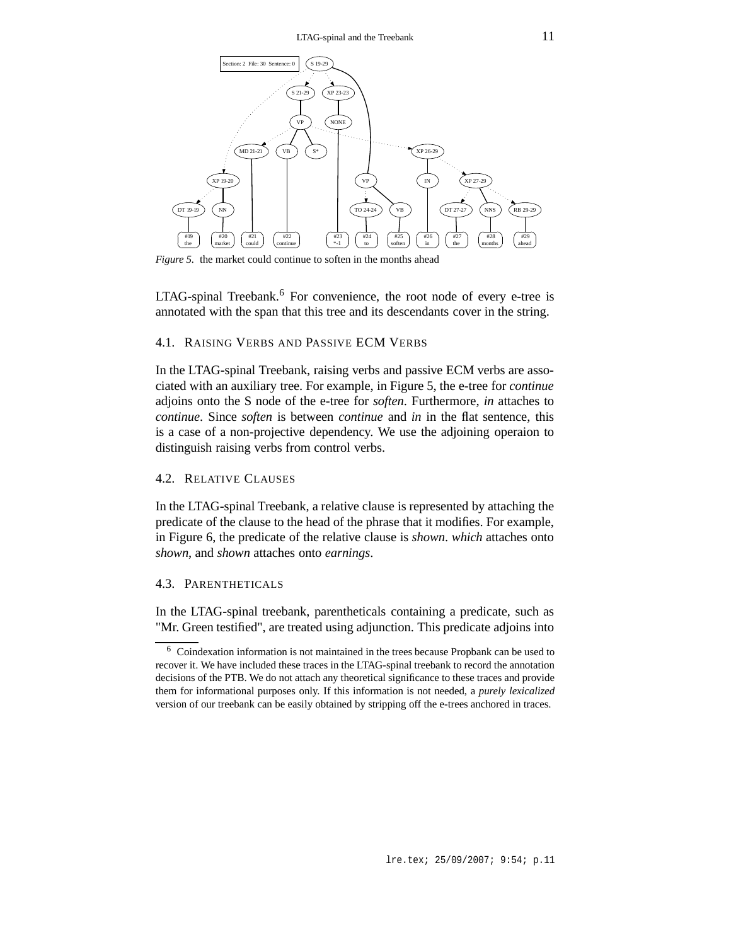

*Figure 5.* the market could continue to soften in the months ahead

LTAG-spinal Treebank.<sup>6</sup> For convenience, the root node of every e-tree is annotated with the span that this tree and its descendants cover in the string.

### 4.1. RAISING VERBS AND PASSIVE ECM VERBS

In the LTAG-spinal Treebank, raising verbs and passive ECM verbs are associated with an auxiliary tree. For example, in Figure 5, the e-tree for *continue* adjoins onto the S node of the e-tree for *soften*. Furthermore, *in* attaches to *continue*. Since *soften* is between *continue* and *in* in the flat sentence, this is a case of a non-projective dependency. We use the adjoining operaion to distinguish raising verbs from control verbs.

### 4.2. RELATIVE CLAUSES

In the LTAG-spinal Treebank, a relative clause is represented by attaching the predicate of the clause to the head of the phrase that it modifies. For example, in Figure 6, the predicate of the relative clause is *shown*. *which* attaches onto *shown*, and *shown* attaches onto *earnings*.

# 4.3. PARENTHETICALS

In the LTAG-spinal treebank, parentheticals containing a predicate, such as "Mr. Green testified", are treated using adjunction. This predicate adjoins into

<sup>6</sup> Coindexation information is not maintained in the trees because Propbank can be used to recover it. We have included these traces in the LTAG-spinal treebank to record the annotation decisions of the PTB. We do not attach any theoretical significance to these traces and provide them for informational purposes only. If this information is not needed, a *purely lexicalized* version of our treebank can be easily obtained by stripping off the e-trees anchored in traces.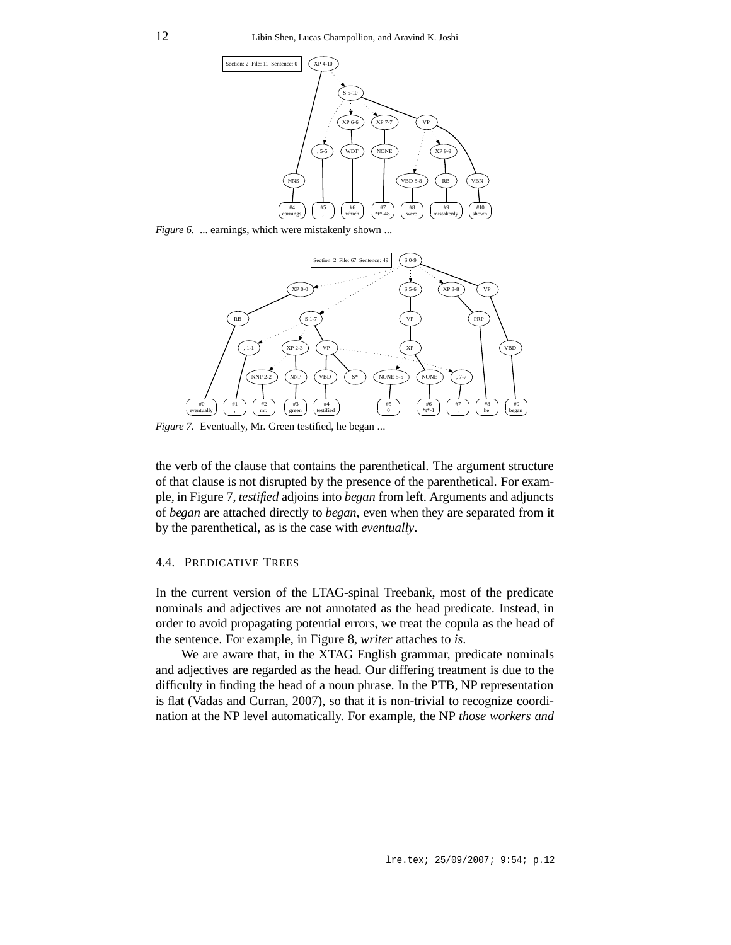

*Figure 6.* ... earnings, which were mistakenly shown ...



*Figure 7.* Eventually, Mr. Green testified, he began ...

the verb of the clause that contains the parenthetical. The argument structure of that clause is not disrupted by the presence of the parenthetical. For example, in Figure 7, *testified* adjoins into *began* from left. Arguments and adjuncts of *began* are attached directly to *began*, even when they are separated from it by the parenthetical, as is the case with *eventually*.

### 4.4. PREDICATIVE TREES

In the current version of the LTAG-spinal Treebank, most of the predicate nominals and adjectives are not annotated as the head predicate. Instead, in order to avoid propagating potential errors, we treat the copula as the head of the sentence. For example, in Figure 8, *writer* attaches to *is*.

We are aware that, in the XTAG English grammar, predicate nominals and adjectives are regarded as the head. Our differing treatment is due to the difficulty in finding the head of a noun phrase. In the PTB, NP representation is flat (Vadas and Curran, 2007), so that it is non-trivial to recognize coordination at the NP level automatically. For example, the NP *those workers and*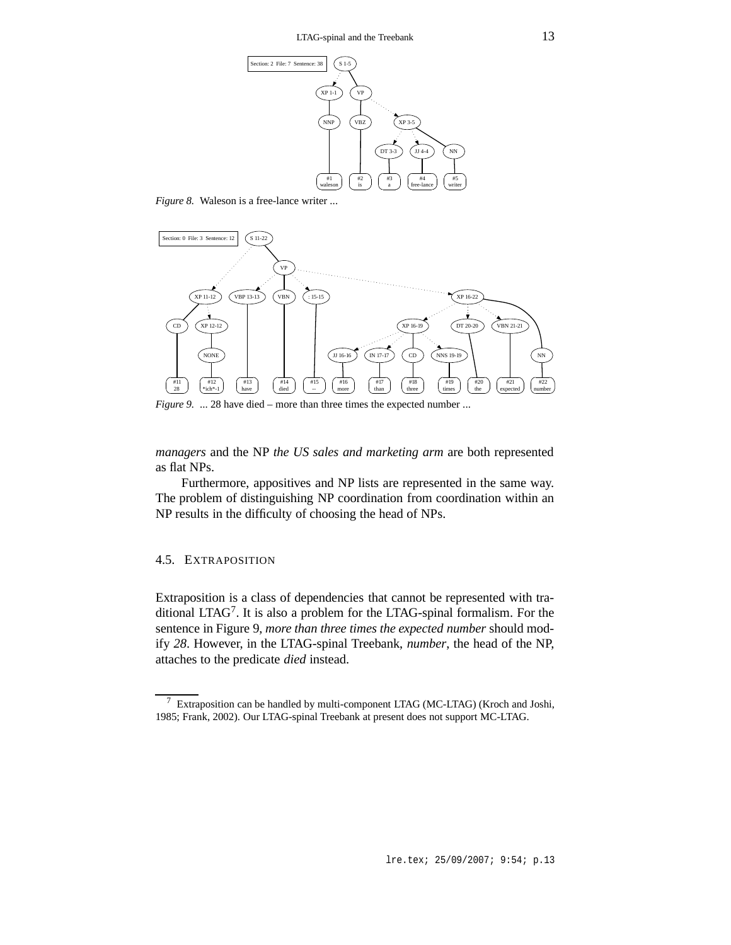

*Figure 8.* Waleson is a free-lance writer ...



*Figure* 9. ... 28 have died – more than three times the expected number ...

*managers* and the NP *the US sales and marketing arm* are both represented as flat NPs.

Furthermore, appositives and NP lists are represented in the same way. The problem of distinguishing NP coordination from coordination within an NP results in the difficulty of choosing the head of NPs.

### 4.5. EXTRAPOSITION

Extraposition is a class of dependencies that cannot be represented with traditional LTAG<sup>7</sup>. It is also a problem for the LTAG-spinal formalism. For the sentence in Figure 9, *more than three times the expected number* should modify *28*. However, in the LTAG-spinal Treebank, *number*, the head of the NP, attaches to the predicate *died* instead.

<sup>7</sup> Extraposition can be handled by multi-component LTAG (MC-LTAG) (Kroch and Joshi, 1985; Frank, 2002). Our LTAG-spinal Treebank at present does not support MC-LTAG.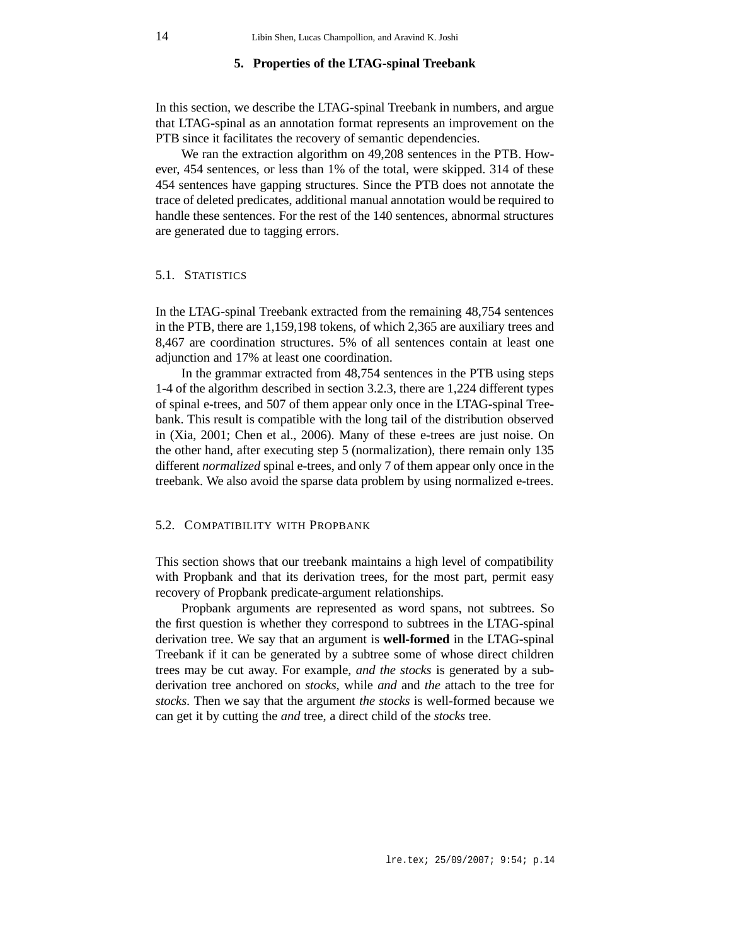### **5. Properties of the LTAG-spinal Treebank**

In this section, we describe the LTAG-spinal Treebank in numbers, and argue that LTAG-spinal as an annotation format represents an improvement on the PTB since it facilitates the recovery of semantic dependencies.

We ran the extraction algorithm on 49,208 sentences in the PTB. However, 454 sentences, or less than 1% of the total, were skipped. 314 of these 454 sentences have gapping structures. Since the PTB does not annotate the trace of deleted predicates, additional manual annotation would be required to handle these sentences. For the rest of the 140 sentences, abnormal structures are generated due to tagging errors.

### 5.1. STATISTICS

In the LTAG-spinal Treebank extracted from the remaining 48,754 sentences in the PTB, there are 1,159,198 tokens, of which 2,365 are auxiliary trees and 8,467 are coordination structures. 5% of all sentences contain at least one adjunction and 17% at least one coordination.

In the grammar extracted from 48,754 sentences in the PTB using steps 1-4 of the algorithm described in section 3.2.3, there are 1,224 different types of spinal e-trees, and 507 of them appear only once in the LTAG-spinal Treebank. This result is compatible with the long tail of the distribution observed in (Xia, 2001; Chen et al., 2006). Many of these e-trees are just noise. On the other hand, after executing step 5 (normalization), there remain only 135 different *normalized* spinal e-trees, and only 7 of them appear only once in the treebank. We also avoid the sparse data problem by using normalized e-trees.

#### 5.2. COMPATIBILITY WITH PROPBANK

This section shows that our treebank maintains a high level of compatibility with Propbank and that its derivation trees, for the most part, permit easy recovery of Propbank predicate-argument relationships.

Propbank arguments are represented as word spans, not subtrees. So the first question is whether they correspond to subtrees in the LTAG-spinal derivation tree. We say that an argument is **well-formed** in the LTAG-spinal Treebank if it can be generated by a subtree some of whose direct children trees may be cut away. For example, *and the stocks* is generated by a subderivation tree anchored on *stocks*, while *and* and *the* attach to the tree for *stocks*. Then we say that the argument *the stocks* is well-formed because we can get it by cutting the *and* tree, a direct child of the *stocks* tree.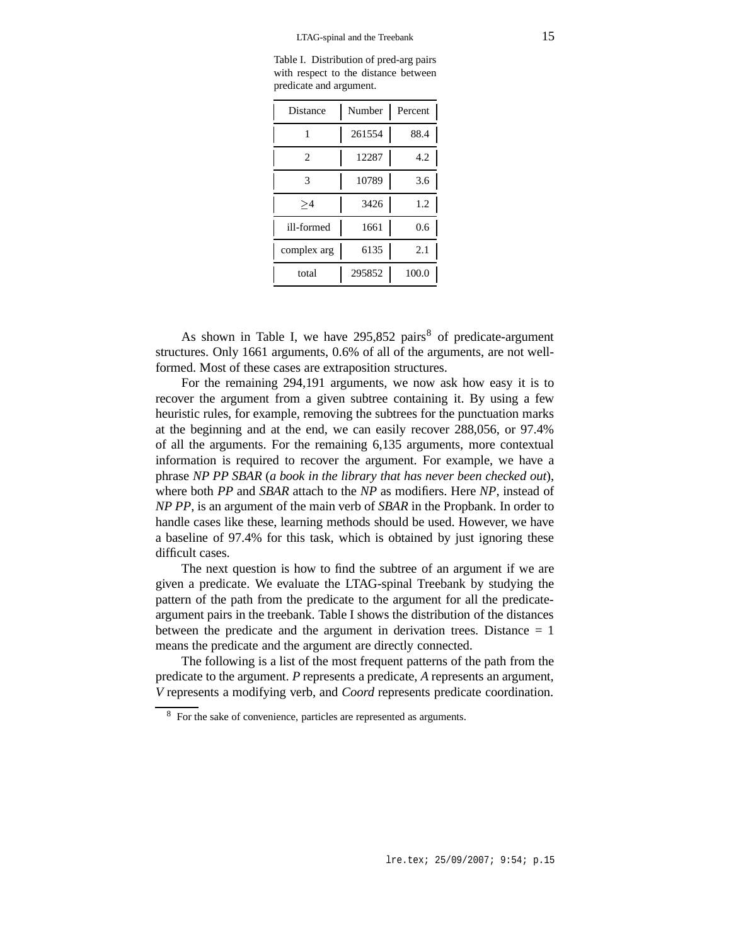Table I. Distribution of pred-arg pairs with respect to the distance between predicate and argument.

| Distance    | Number | Percent |
|-------------|--------|---------|
|             | 261554 | 88.4    |
| 2           | 12287  | 4.2     |
| 3           | 10789  | 3.6     |
| >1          | 3426   | 1.2     |
| ill-formed  | 1661   | 0.6     |
| complex arg | 6135   | 2.1     |
| total       | 295852 | 100.0   |

As shown in Table I, we have  $295,852$  pairs<sup>8</sup> of predicate-argument structures. Only 1661 arguments, 0.6% of all of the arguments, are not wellformed. Most of these cases are extraposition structures.

For the remaining 294,191 arguments, we now ask how easy it is to recover the argument from a given subtree containing it. By using a few heuristic rules, for example, removing the subtrees for the punctuation marks at the beginning and at the end, we can easily recover 288,056, or 97.4% of all the arguments. For the remaining 6,135 arguments, more contextual information is required to recover the argument. For example, we have a phrase *NP PP SBAR* (*a book in the library that has never been checked out*), where both *PP* and *SBAR* attach to the *NP* as modifiers. Here *NP*, instead of *NP PP*, is an argument of the main verb of *SBAR* in the Propbank. In order to handle cases like these, learning methods should be used. However, we have a baseline of 97.4% for this task, which is obtained by just ignoring these difficult cases.

The next question is how to find the subtree of an argument if we are given a predicate. We evaluate the LTAG-spinal Treebank by studying the pattern of the path from the predicate to the argument for all the predicateargument pairs in the treebank. Table I shows the distribution of the distances between the predicate and the argument in derivation trees. Distance  $= 1$ means the predicate and the argument are directly connected.

The following is a list of the most frequent patterns of the path from the predicate to the argument. *P* represents a predicate, *A* represents an argument, *V* represents a modifying verb, and *Coord* represents predicate coordination.

<sup>8</sup> For the sake of convenience, particles are represented as arguments.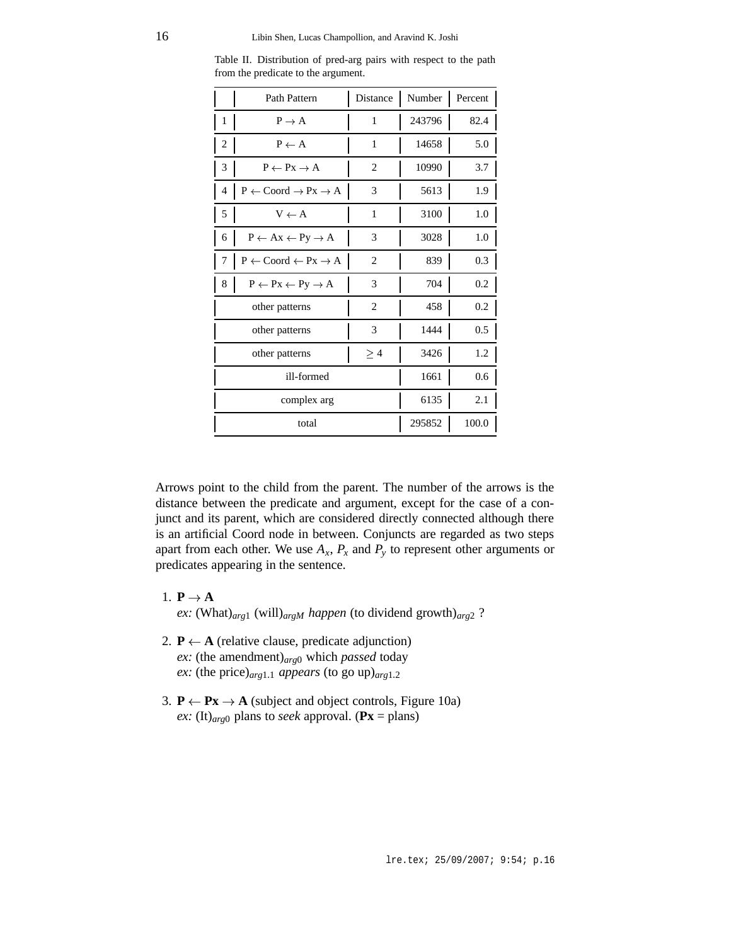|                | Path Pattern                                         | Distance |        | Number Percent |
|----------------|------------------------------------------------------|----------|--------|----------------|
| 1              | $P \rightarrow A$                                    | 1        | 243796 | 82.4           |
| 2              | $P \leftarrow A$                                     | 1        | 14658  | 5.0            |
| 3              | $P \leftarrow Px \rightarrow A$                      | 2        | 10990  | 3.7            |
| $\overline{4}$ | $P \leftarrow$ Coord $\rightarrow Px \rightarrow A$  | 3        | 5613   | 1.9            |
| 5              | $V \leftarrow A$                                     | 1        | 3100   | 1.0            |
| 6              | $P \leftarrow Ax \leftarrow Py \rightarrow A$        | 3        | 3028   | 1.0            |
| 7              | $P \leftarrow$ Coord $\leftarrow$ Px $\rightarrow$ A | 2        | 839    | $0.3\,$        |
| 8              | $P \leftarrow Px \leftarrow Py \rightarrow A$        | 3        | 704    | 0.2            |
|                | other patterns                                       | 2        | 458    | $0.2\,$        |
|                | other patterns                                       | 3        | 1444   | 0.5            |
|                | other patterns                                       | $\geq 4$ | 3426   | 1.2            |
| ill-formed     |                                                      |          | 1661   | 0.6            |
| complex arg    |                                                      |          | 6135   | 2.1            |
|                | total                                                |          | 295852 | 100.0          |

Table II. Distribution of pred-arg pairs with respect to the path from the predicate to the argument.

Arrows point to the child from the parent. The number of the arrows is the distance between the predicate and argument, except for the case of a conjunct and its parent, which are considered directly connected although there is an artificial Coord node in between. Conjuncts are regarded as two steps apart from each other. We use  $A_x$ ,  $P_x$  and  $P_y$  to represent other arguments or predicates appearing in the sentence.

- 1.  $P \rightarrow A$  **A** *ex:* (What)*arg*<sup>1</sup> (will)*argM happen* (to dividend growth)*arg*<sup>2</sup> ?
- 2.  $P \leftarrow A$  (relative clause, predicate adjunction) *ex:* (the amendment)*arg*<sup>0</sup> which *passed* today *ex:* (the price) $_{arg1.1}$  *appears* (to go up) $_{arg1.2}$
- 3.  $P \leftarrow Px \rightarrow A$  (subject and object controls, Figure 10a) *ex:* (It)<sub>*arg*0</sub> plans to *seek* approval. ( $\mathbf{Px} = \text{plans}$ )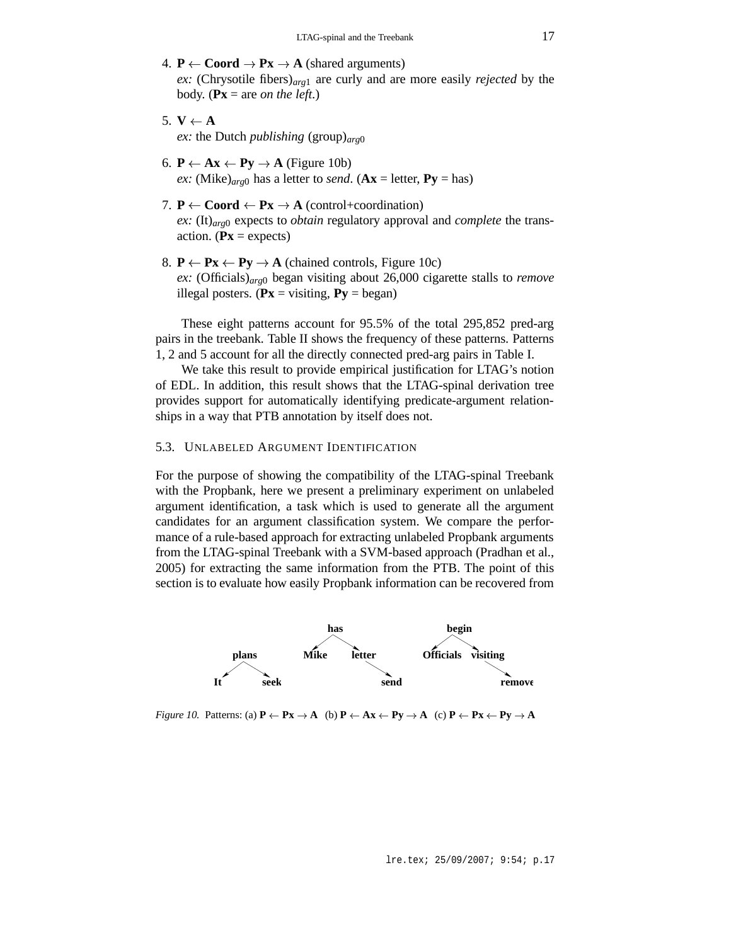- 4.  $P \leftarrow \text{Coord} \rightarrow Px \rightarrow A \text{ (shared arguments)}$ *ex:* (Chrysotile fibers)*arg*<sup>1</sup> are curly and are more easily *rejected* by the body. ( $\mathbf{Px} = \text{are on the left.}$ )
- 5.  $V \leftarrow A$ *ex:* the Dutch *publishing* (group)*arg*<sup>0</sup>
- 6.  $P \leftarrow Ax \leftarrow Py \rightarrow A$  (Figure 10b) *ex:* (Mike)<sub>*arg*0</sub> has a letter to *send*. ( $Ax =$  letter,  $Py =$  has)
- 7.  $P \leftarrow \text{Coord} \leftarrow P\mathbf{x} \rightarrow \mathbf{A} \text{ (control+coordination)}$ *ex:* (It)*arg*<sup>0</sup> expects to *obtain* regulatory approval and *complete* the transaction. ( $\mathbf{Px} =$  expects)
- 8.  $P \leftarrow Px \leftarrow Py \rightarrow A$  (chained controls, Figure 10c) *ex:* (Officials)*arg*<sup>0</sup> began visiting about 26,000 cigarette stalls to *remove* illegal posters. ( $\mathbf{Px} = \text{visiting}, \mathbf{Py} = \text{began}$ )

These eight patterns account for 95.5% of the total 295,852 pred-arg pairs in the treebank. Table II shows the frequency of these patterns. Patterns 1, 2 and 5 account for all the directly connected pred-arg pairs in Table I.

We take this result to provide empirical justification for LTAG's notion of EDL. In addition, this result shows that the LTAG-spinal derivation tree provides support for automatically identifying predicate-argument relationships in a way that PTB annotation by itself does not.

### 5.3. UNLABELED ARGUMENT IDENTIFICATION

For the purpose of showing the compatibility of the LTAG-spinal Treebank with the Propbank, here we present a preliminary experiment on unlabeled argument identification, a task which is used to generate all the argument candidates for an argument classification system. We compare the performance of a rule-based approach for extracting unlabeled Propbank arguments from the LTAG-spinal Treebank with a SVM-based approach (Pradhan et al., 2005) for extracting the same information from the PTB. The point of this section is to evaluate how easily Propbank information can be recovered from



*Figure 10.* Patterns: (a)  $P \leftarrow Px \rightarrow A$  (b)  $P \leftarrow Ax \leftarrow Py \rightarrow A$  (c)  $P \leftarrow Px \leftarrow Py \rightarrow A$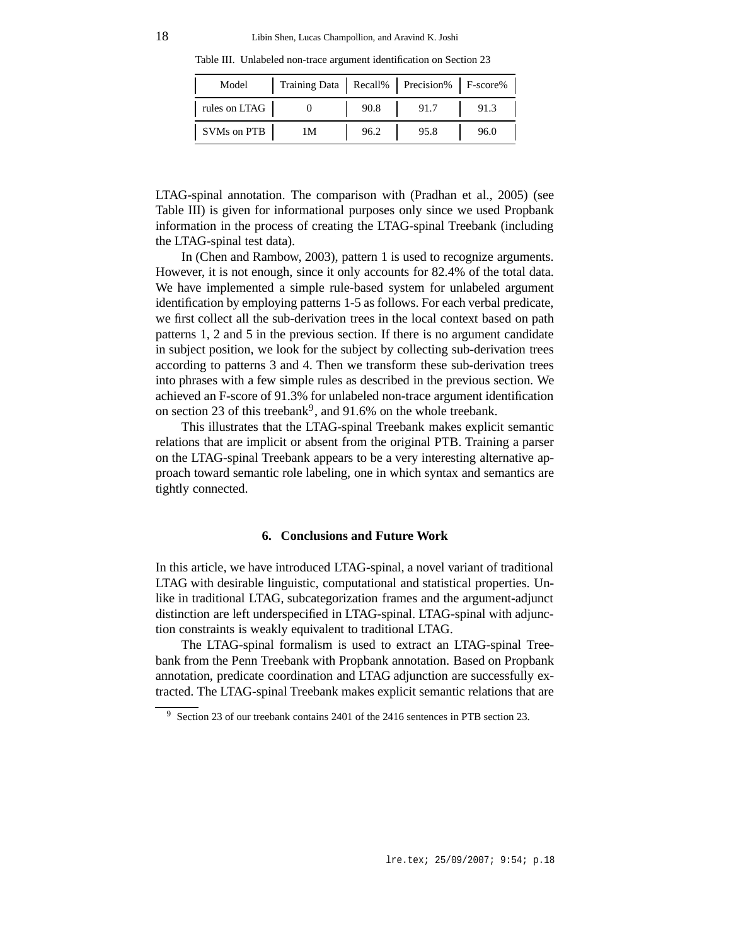Table III. Unlabeled non-trace argument identification on Section 23

| Model         | Training Data   Recall%   Precision%   F-score% |      |      |      |
|---------------|-------------------------------------------------|------|------|------|
| rules on LTAG |                                                 | 90.8 | 91.7 | 91.3 |
| SVMs on PTB   | 1М                                              | 96.2 | 95.8 | 96.0 |

LTAG-spinal annotation. The comparison with (Pradhan et al., 2005) (see Table III) is given for informational purposes only since we used Propbank information in the process of creating the LTAG-spinal Treebank (including the LTAG-spinal test data).

In (Chen and Rambow, 2003), pattern 1 is used to recognize arguments. However, it is not enough, since it only accounts for 82.4% of the total data. We have implemented a simple rule-based system for unlabeled argument identification by employing patterns 1-5 as follows. For each verbal predicate, we first collect all the sub-derivation trees in the local context based on path patterns 1, 2 and 5 in the previous section. If there is no argument candidate in subject position, we look for the subject by collecting sub-derivation trees according to patterns 3 and 4. Then we transform these sub-derivation trees into phrases with a few simple rules as described in the previous section. We achieved an F-score of 91.3% for unlabeled non-trace argument identification on section 23 of this treebank<sup>9</sup>, and 91.6% on the whole treebank.

This illustrates that the LTAG-spinal Treebank makes explicit semantic relations that are implicit or absent from the original PTB. Training a parser on the LTAG-spinal Treebank appears to be a very interesting alternative approach toward semantic role labeling, one in which syntax and semantics are tightly connected.

### **6. Conclusions and Future Work**

In this article, we have introduced LTAG-spinal, a novel variant of traditional LTAG with desirable linguistic, computational and statistical properties. Unlike in traditional LTAG, subcategorization frames and the argument-adjunct distinction are left underspecified in LTAG-spinal. LTAG-spinal with adjunction constraints is weakly equivalent to traditional LTAG.

The LTAG-spinal formalism is used to extract an LTAG-spinal Treebank from the Penn Treebank with Propbank annotation. Based on Propbank annotation, predicate coordination and LTAG adjunction are successfully extracted. The LTAG-spinal Treebank makes explicit semantic relations that are

<sup>9</sup> Section 23 of our treebank contains 2401 of the 2416 sentences in PTB section 23.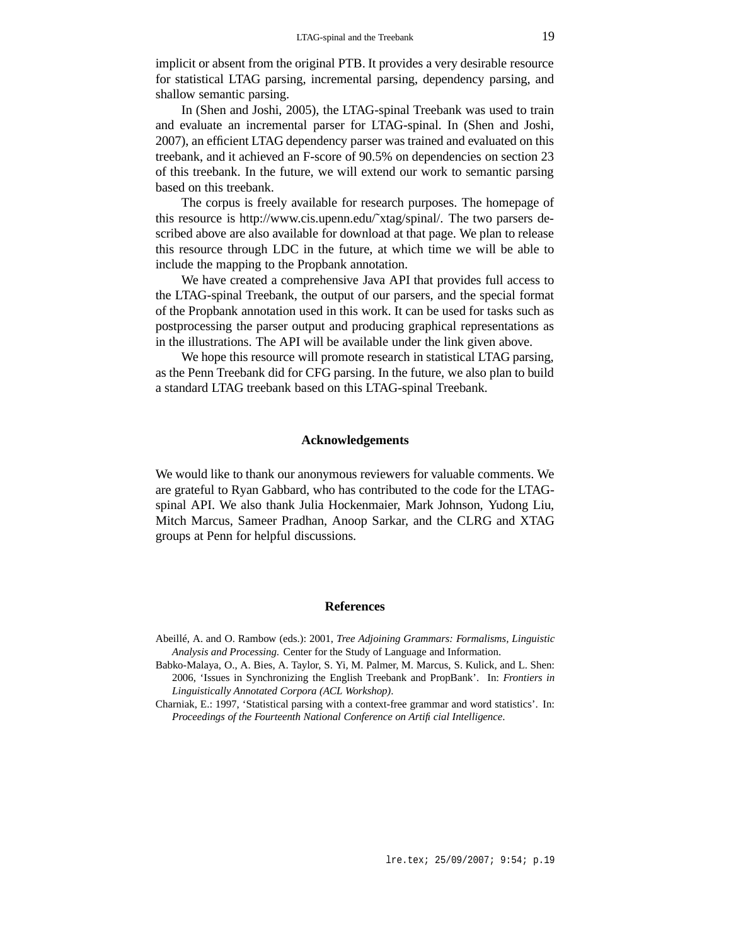implicit or absent from the original PTB. It provides a very desirable resource for statistical LTAG parsing, incremental parsing, dependency parsing, and shallow semantic parsing.

In (Shen and Joshi, 2005), the LTAG-spinal Treebank was used to train and evaluate an incremental parser for LTAG-spinal. In (Shen and Joshi, 2007), an efficient LTAG dependency parser was trained and evaluated on this treebank, and it achieved an F-score of 90.5% on dependencies on section 23 of this treebank. In the future, we will extend our work to semantic parsing based on this treebank.

The corpus is freely available for research purposes. The homepage of this resource is http://www.cis.upenn.edu/˜xtag/spinal/. The two parsers described above are also available for download at that page. We plan to release this resource through LDC in the future, at which time we will be able to include the mapping to the Propbank annotation.

We have created a comprehensive Java API that provides full access to the LTAG-spinal Treebank, the output of our parsers, and the special format of the Propbank annotation used in this work. It can be used for tasks such as postprocessing the parser output and producing graphical representations as in the illustrations. The API will be available under the link given above.

We hope this resource will promote research in statistical LTAG parsing, as the Penn Treebank did for CFG parsing. In the future, we also plan to build a standard LTAG treebank based on this LTAG-spinal Treebank.

#### **Acknowledgements**

We would like to thank our anonymous reviewers for valuable comments. We are grateful to Ryan Gabbard, who has contributed to the code for the LTAGspinal API. We also thank Julia Hockenmaier, Mark Johnson, Yudong Liu, Mitch Marcus, Sameer Pradhan, Anoop Sarkar, and the CLRG and XTAG groups at Penn for helpful discussions.

#### **References**

- Abeillé, A. and O. Rambow (eds.): 2001, *Tree Adjoining Grammars: Formalisms, Linguistic Analysis and Processing*. Center for the Study of Language and Information.
- Babko-Malaya, O., A. Bies, A. Taylor, S. Yi, M. Palmer, M. Marcus, S. Kulick, and L. Shen: 2006, 'Issues in Synchronizing the English Treebank and PropBank'. In: *Frontiers in Linguistically Annotated Corpora (ACL Workshop)*.
- Charniak, E.: 1997, 'Statistical parsing with a context-free grammar and word statistics'. In: *Proceedings of the Fourteenth National Conference on Artificial Intelligence*.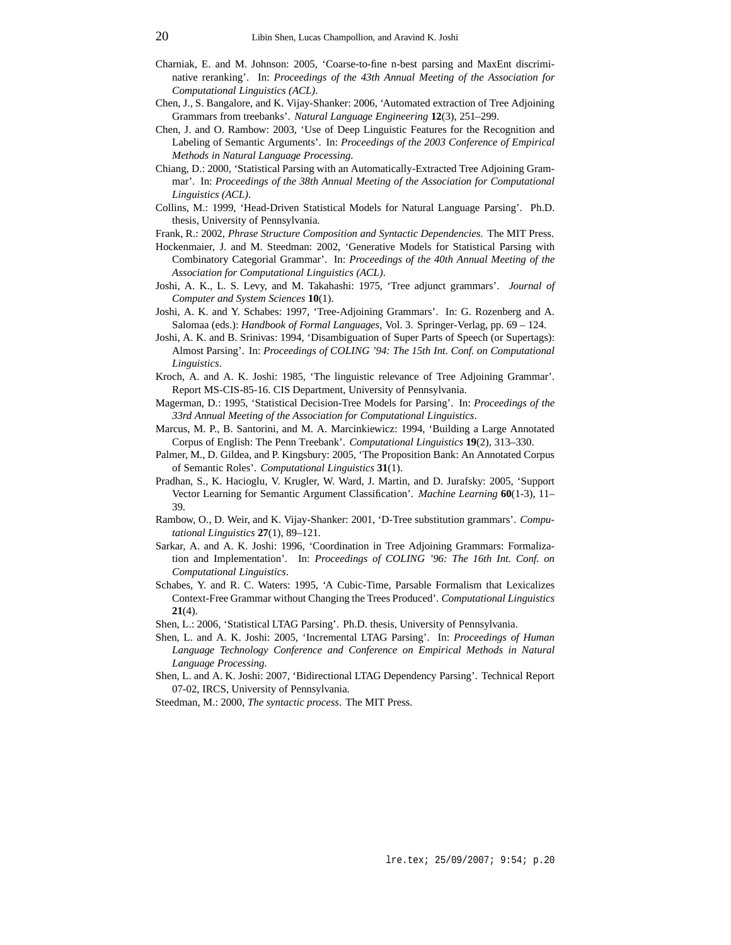- Charniak, E. and M. Johnson: 2005, 'Coarse-to-fine n-best parsing and MaxEnt discriminative reranking'. In: *Proceedings of the 43th Annual Meeting of the Association for Computational Linguistics (ACL)*.
- Chen, J., S. Bangalore, and K. Vijay-Shanker: 2006, 'Automated extraction of Tree Adjoining Grammars from treebanks'. *Natural Language Engineering* **12**(3), 251–299.
- Chen, J. and O. Rambow: 2003, 'Use of Deep Linguistic Features for the Recognition and Labeling of Semantic Arguments'. In: *Proceedings of the 2003 Conference of Empirical Methods in Natural Language Processing*.
- Chiang, D.: 2000, 'Statistical Parsing with an Automatically-Extracted Tree Adjoining Grammar'. In: *Proceedings of the 38th Annual Meeting of the Association for Computational Linguistics (ACL)*.
- Collins, M.: 1999, 'Head-Driven Statistical Models for Natural Language Parsing'. Ph.D. thesis, University of Pennsylvania.
- Frank, R.: 2002, *Phrase Structure Composition and Syntactic Dependencies*. The MIT Press.
- Hockenmaier, J. and M. Steedman: 2002, 'Generative Models for Statistical Parsing with Combinatory Categorial Grammar'. In: *Proceedings of the 40th Annual Meeting of the Association for Computational Linguistics (ACL)*.
- Joshi, A. K., L. S. Levy, and M. Takahashi: 1975, 'Tree adjunct grammars'. *Journal of Computer and System Sciences* **10**(1).
- Joshi, A. K. and Y. Schabes: 1997, 'Tree-Adjoining Grammars'. In: G. Rozenberg and A. Salomaa (eds.): *Handbook of Formal Languages*, Vol. 3. Springer-Verlag, pp. 69 – 124.
- Joshi, A. K. and B. Srinivas: 1994, 'Disambiguation of Super Parts of Speech (or Supertags): Almost Parsing'. In: *Proceedings of COLING '94: The 15th Int. Conf. on Computational Linguistics*.
- Kroch, A. and A. K. Joshi: 1985, 'The linguistic relevance of Tree Adjoining Grammar'. Report MS-CIS-85-16. CIS Department, University of Pennsylvania.
- Magerman, D.: 1995, 'Statistical Decision-Tree Models for Parsing'. In: *Proceedings of the 33rd Annual Meeting of the Association for Computational Linguistics*.
- Marcus, M. P., B. Santorini, and M. A. Marcinkiewicz: 1994, 'Building a Large Annotated Corpus of English: The Penn Treebank'. *Computational Linguistics* **19**(2), 313–330.
- Palmer, M., D. Gildea, and P. Kingsbury: 2005, 'The Proposition Bank: An Annotated Corpus of Semantic Roles'. *Computational Linguistics* **31**(1).
- Pradhan, S., K. Hacioglu, V. Krugler, W. Ward, J. Martin, and D. Jurafsky: 2005, 'Support Vector Learning for Semantic Argument Classification'. *Machine Learning* **60**(1-3), 11– 39.
- Rambow, O., D. Weir, and K. Vijay-Shanker: 2001, 'D-Tree substitution grammars'. *Computational Linguistics* **27**(1), 89–121.
- Sarkar, A. and A. K. Joshi: 1996, 'Coordination in Tree Adjoining Grammars: Formalization and Implementation'. In: *Proceedings of COLING '96: The 16th Int. Conf. on Computational Linguistics*.
- Schabes, Y. and R. C. Waters: 1995, 'A Cubic-Time, Parsable Formalism that Lexicalizes Context-Free Grammar without Changing the Trees Produced'. *Computational Linguistics* **21**(4).
- Shen, L.: 2006, 'Statistical LTAG Parsing'. Ph.D. thesis, University of Pennsylvania.
- Shen, L. and A. K. Joshi: 2005, 'Incremental LTAG Parsing'. In: *Proceedings of Human Language Technology Conference and Conference on Empirical Methods in Natural Language Processing*.
- Shen, L. and A. K. Joshi: 2007, 'Bidirectional LTAG Dependency Parsing'. Technical Report 07-02, IRCS, University of Pennsylvania.
- Steedman, M.: 2000, *The syntactic process*. The MIT Press.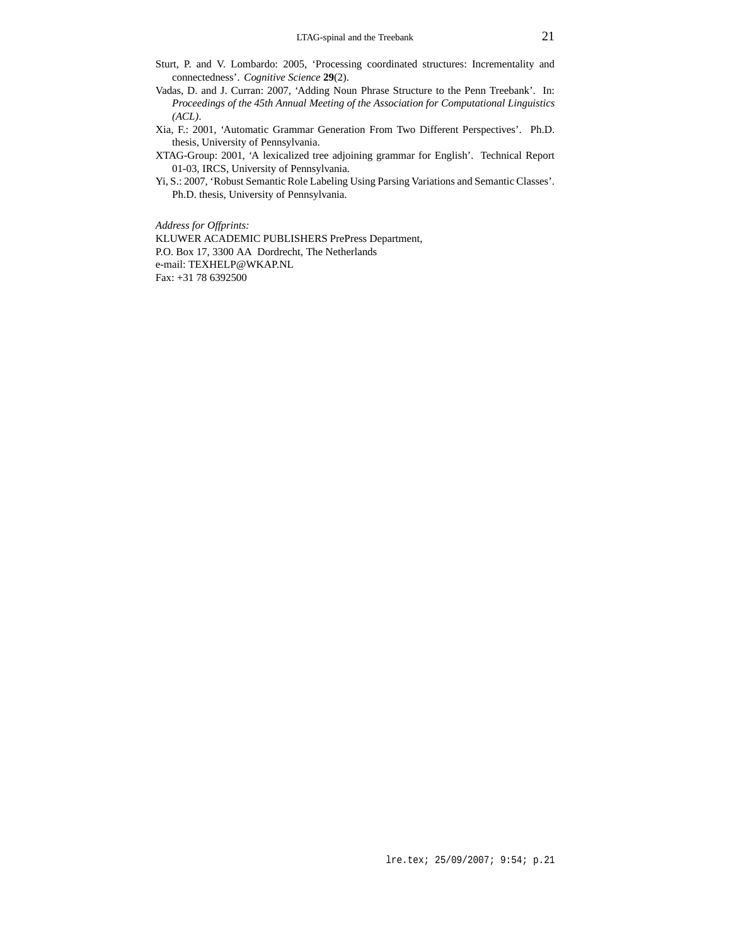- Sturt, P. and V. Lombardo: 2005, 'Processing coordinated structures: Incrementality and connectedness'. *Cognitive Science* **29**(2).
- Vadas, D. and J. Curran: 2007, 'Adding Noun Phrase Structure to the Penn Treebank'. In: *Proceedings of the 45th Annual Meeting of the Association for Computational Linguistics (ACL)*.
- Xia, F.: 2001, 'Automatic Grammar Generation From Two Different Perspectives'. Ph.D. thesis, University of Pennsylvania.
- XTAG-Group: 2001, 'A lexicalized tree adjoining grammar for English'. Technical Report 01-03, IRCS, University of Pennsylvania.
- Yi, S.: 2007, 'Robust Semantic Role Labeling Using Parsing Variations and Semantic Classes'. Ph.D. thesis, University of Pennsylvania.

*Address for Offprints:*

KLUWER ACADEMIC PUBLISHERS PrePress Department, P.O. Box 17, 3300 AA Dordrecht, The Netherlands e-mail: TEXHELP@WKAP.NL Fax: +31 78 6392500